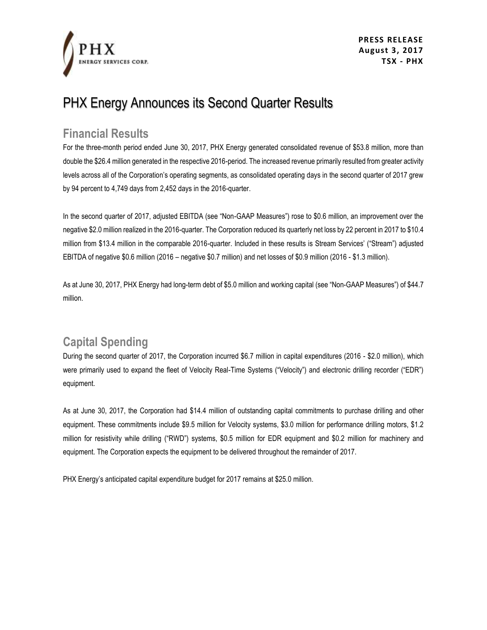

# PHX Energy Announces its Second Quarter Results

#### **Financial Results**

For the three-month period ended June 30, 2017, PHX Energy generated consolidated revenue of \$53.8 million, more than double the \$26.4 million generated in the respective 2016-period. The increased revenue primarily resulted from greater activity levels across all of the Corporation's operating segments, as consolidated operating days in the second quarter of 2017 grew by 94 percent to 4,749 days from 2,452 days in the 2016-quarter.

In the second quarter of 2017, adjusted EBITDA (see "Non-GAAP Measures") rose to \$0.6 million, an improvement over the negative \$2.0 million realized in the 2016-quarter. The Corporation reduced its quarterly net loss by 22 percent in 2017 to \$10.4 million from \$13.4 million in the comparable 2016-quarter. Included in these results is Stream Services' ("Stream") adjusted EBITDA of negative \$0.6 million (2016 – negative \$0.7 million) and net losses of \$0.9 million (2016 - \$1.3 million).

As at June 30, 2017, PHX Energy had long-term debt of \$5.0 million and working capital (see "Non-GAAP Measures") of \$44.7 million.

## **Capital Spending**

During the second quarter of 2017, the Corporation incurred \$6.7 million in capital expenditures (2016 - \$2.0 million), which were primarily used to expand the fleet of Velocity Real-Time Systems ("Velocity") and electronic drilling recorder ("EDR") equipment.

As at June 30, 2017, the Corporation had \$14.4 million of outstanding capital commitments to purchase drilling and other equipment. These commitments include \$9.5 million for Velocity systems, \$3.0 million for performance drilling motors, \$1.2 million for resistivity while drilling ("RWD") systems, \$0.5 million for EDR equipment and \$0.2 million for machinery and equipment. The Corporation expects the equipment to be delivered throughout the remainder of 2017.

PHX Energy's anticipated capital expenditure budget for 2017 remains at \$25.0 million.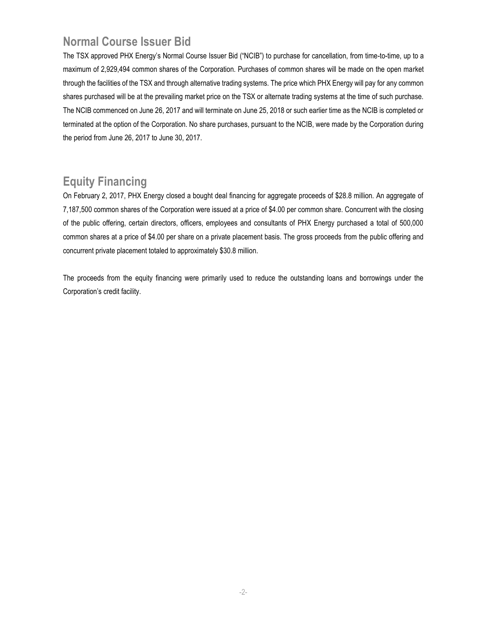## **Normal Course Issuer Bid**

The TSX approved PHX Energy's Normal Course Issuer Bid ("NCIB") to purchase for cancellation, from time-to-time, up to a maximum of 2,929,494 common shares of the Corporation. Purchases of common shares will be made on the open market through the facilities of the TSX and through alternative trading systems. The price which PHX Energy will pay for any common shares purchased will be at the prevailing market price on the TSX or alternate trading systems at the time of such purchase. The NCIB commenced on June 26, 2017 and will terminate on June 25, 2018 or such earlier time as the NCIB is completed or terminated at the option of the Corporation. No share purchases, pursuant to the NCIB, were made by the Corporation during the period from June 26, 2017 to June 30, 2017.

### **Equity Financing**

On February 2, 2017, PHX Energy closed a bought deal financing for aggregate proceeds of \$28.8 million. An aggregate of 7,187,500 common shares of the Corporation were issued at a price of \$4.00 per common share. Concurrent with the closing of the public offering, certain directors, officers, employees and consultants of PHX Energy purchased a total of 500,000 common shares at a price of \$4.00 per share on a private placement basis. The gross proceeds from the public offering and concurrent private placement totaled to approximately \$30.8 million.

The proceeds from the equity financing were primarily used to reduce the outstanding loans and borrowings under the Corporation's credit facility.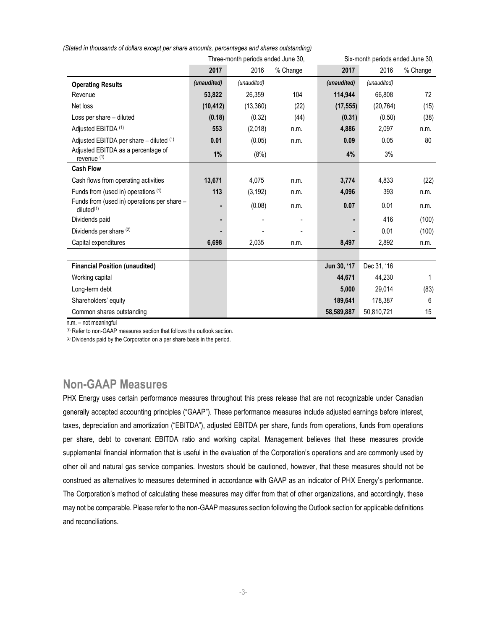|                                                           |             | Three-month periods ended June 30, |          | Six-month periods ended June 30, |             |          |
|-----------------------------------------------------------|-------------|------------------------------------|----------|----------------------------------|-------------|----------|
|                                                           | 2017        | 2016                               | % Change | 2017                             | 2016        | % Change |
| <b>Operating Results</b>                                  | (unaudited) | (unaudited)                        |          | (unaudited)                      | (unaudited) |          |
| Revenue                                                   | 53,822      | 26,359                             | 104      | 114,944                          | 66,808      | 72       |
| Net loss                                                  | (10, 412)   | (13, 360)                          | (22)     | (17, 555)                        | (20, 764)   | (15)     |
| Loss per share - diluted                                  | (0.18)      | (0.32)                             | (44)     | (0.31)                           | (0.50)      | (38)     |
| Adjusted EBITDA (1)                                       | 553         | (2,018)                            | n.m.     | 4,886                            | 2,097       | n.m.     |
| Adjusted EBITDA per share - diluted (1)                   | 0.01        | (0.05)                             | n.m.     | 0.09                             | 0.05        | 80       |
| Adjusted EBITDA as a percentage of<br>revenue (1)         | 1%          | (8%)                               |          | 4%                               | 3%          |          |
| <b>Cash Flow</b>                                          |             |                                    |          |                                  |             |          |
| Cash flows from operating activities                      | 13,671      | 4,075                              | n.m.     | 3,774                            | 4,833       | (22)     |
| Funds from (used in) operations (1)                       | 113         | (3, 192)                           | n.m.     | 4,096                            | 393         | n.m.     |
| Funds from (used in) operations per share -<br>diluted(1) |             | (0.08)                             | n.m.     | 0.07                             | 0.01        | n.m.     |
| Dividends paid                                            |             |                                    |          |                                  | 416         | (100)    |
| Dividends per share (2)                                   |             |                                    |          |                                  | 0.01        | (100)    |
| Capital expenditures                                      | 6,698       | 2,035                              | n.m.     | 8,497                            | 2,892       | n.m.     |
|                                                           |             |                                    |          |                                  |             |          |
| <b>Financial Position (unaudited)</b>                     |             |                                    |          | Jun 30, '17                      | Dec 31, '16 |          |
| Working capital                                           |             |                                    |          | 44.671                           | 44.230      | 1        |
| Long-term debt                                            |             |                                    |          | 5,000                            | 29,014      | (83)     |
| Shareholders' equity                                      |             |                                    |          | 189.641                          | 178.387     | 6        |
| Common shares outstanding                                 |             |                                    |          | 58,589,887                       | 50,810,721  | 15       |

*(Stated in thousands of dollars except per share amounts, percentages and shares outstanding)*

n.m. – not meaningful

(1) Refer to non-GAAP measures section that follows the outlook section.

(2) Dividends paid by the Corporation on a per share basis in the period.

#### **Non-GAAP Measures**

PHX Energy uses certain performance measures throughout this press release that are not recognizable under Canadian generally accepted accounting principles ("GAAP"). These performance measures include adjusted earnings before interest, taxes, depreciation and amortization ("EBITDA"), adjusted EBITDA per share, funds from operations, funds from operations per share, debt to covenant EBITDA ratio and working capital. Management believes that these measures provide supplemental financial information that is useful in the evaluation of the Corporation's operations and are commonly used by other oil and natural gas service companies. Investors should be cautioned, however, that these measures should not be construed as alternatives to measures determined in accordance with GAAP as an indicator of PHX Energy's performance. The Corporation's method of calculating these measures may differ from that of other organizations, and accordingly, these may not be comparable. Please refer to the non-GAAP measures section following the Outlook section for applicable definitions and reconciliations.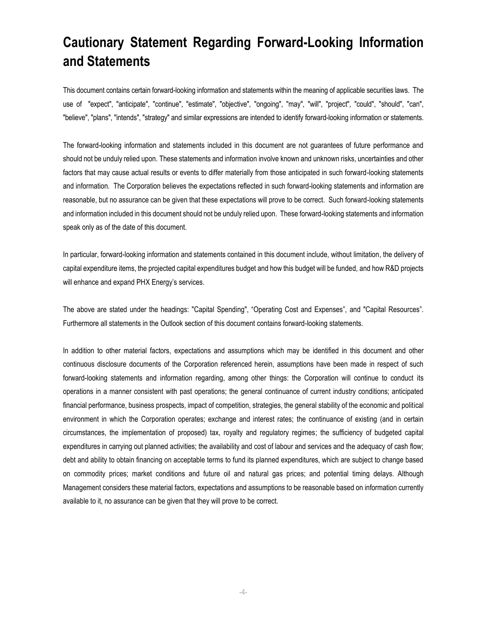## **Cautionary Statement Regarding Forward-Looking Information and Statements**

This document contains certain forward-looking information and statements within the meaning of applicable securities laws. The use of "expect", "anticipate", "continue", "estimate", "objective", "ongoing", "may", "will", "project", "could", "should", "can", "believe", "plans", "intends", "strategy" and similar expressions are intended to identify forward-looking information or statements.

The forward-looking information and statements included in this document are not guarantees of future performance and should not be unduly relied upon. These statements and information involve known and unknown risks, uncertainties and other factors that may cause actual results or events to differ materially from those anticipated in such forward-looking statements and information. The Corporation believes the expectations reflected in such forward-looking statements and information are reasonable, but no assurance can be given that these expectations will prove to be correct. Such forward-looking statements and information included in this document should not be unduly relied upon. These forward-looking statements and information speak only as of the date of this document.

In particular, forward-looking information and statements contained in this document include, without limitation, the delivery of capital expenditure items, the projected capital expenditures budget and how this budget will be funded, and how R&D projects will enhance and expand PHX Energy's services.

The above are stated under the headings: "Capital Spending", "Operating Cost and Expenses", and "Capital Resources". Furthermore all statements in the Outlook section of this document contains forward-looking statements.

In addition to other material factors, expectations and assumptions which may be identified in this document and other continuous disclosure documents of the Corporation referenced herein, assumptions have been made in respect of such forward-looking statements and information regarding, among other things: the Corporation will continue to conduct its operations in a manner consistent with past operations; the general continuance of current industry conditions; anticipated financial performance, business prospects, impact of competition, strategies, the general stability of the economic and political environment in which the Corporation operates; exchange and interest rates; the continuance of existing (and in certain circumstances, the implementation of proposed) tax, royalty and regulatory regimes; the sufficiency of budgeted capital expenditures in carrying out planned activities; the availability and cost of labour and services and the adequacy of cash flow; debt and ability to obtain financing on acceptable terms to fund its planned expenditures, which are subject to change based on commodity prices; market conditions and future oil and natural gas prices; and potential timing delays. Although Management considers these material factors, expectations and assumptions to be reasonable based on information currently available to it, no assurance can be given that they will prove to be correct.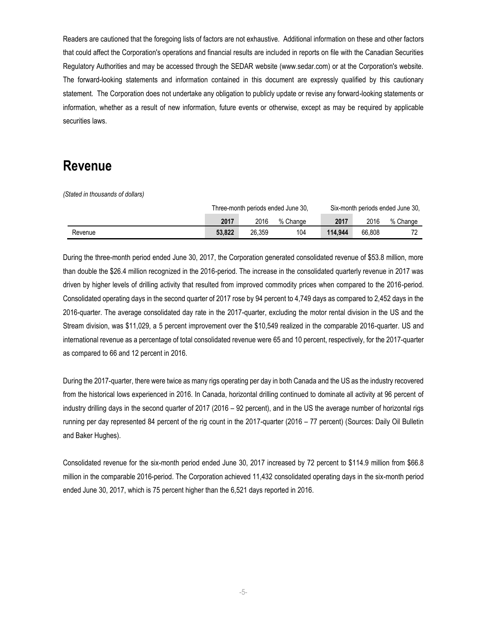Readers are cautioned that the foregoing lists of factors are not exhaustive. Additional information on these and other factors that could affect the Corporation's operations and financial results are included in reports on file with the Canadian Securities Regulatory Authorities and may be accessed through the SEDAR website (www.sedar.com) or at the Corporation's website. The forward-looking statements and information contained in this document are expressly qualified by this cautionary statement. The Corporation does not undertake any obligation to publicly update or revise any forward-looking statements or information, whether as a result of new information, future events or otherwise, except as may be required by applicable securities laws.

#### **Revenue**

*(Stated in thousands of dollars)*

|         | Three-month periods ended June 30, |        |          | Six-month periods ended June 30, |        |          |
|---------|------------------------------------|--------|----------|----------------------------------|--------|----------|
|         | 2017                               | 2016   | % Change | 2017                             | 2016   | % Change |
| Revenue | 53.822                             | 26.359 | 104      | 114.944                          | 66.808 | <u>.</u> |

During the three-month period ended June 30, 2017, the Corporation generated consolidated revenue of \$53.8 million, more than double the \$26.4 million recognized in the 2016-period. The increase in the consolidated quarterly revenue in 2017 was driven by higher levels of drilling activity that resulted from improved commodity prices when compared to the 2016-period. Consolidated operating days in the second quarter of 2017 rose by 94 percent to 4,749 days as compared to 2,452 days in the 2016-quarter. The average consolidated day rate in the 2017-quarter, excluding the motor rental division in the US and the Stream division, was \$11,029, a 5 percent improvement over the \$10,549 realized in the comparable 2016-quarter. US and international revenue as a percentage of total consolidated revenue were 65 and 10 percent, respectively, for the 2017-quarter as compared to 66 and 12 percent in 2016.

During the 2017-quarter, there were twice as many rigs operating per day in both Canada and the US as the industry recovered from the historical lows experienced in 2016. In Canada, horizontal drilling continued to dominate all activity at 96 percent of industry drilling days in the second quarter of 2017 (2016 – 92 percent), and in the US the average number of horizontal rigs running per day represented 84 percent of the rig count in the 2017-quarter (2016 – 77 percent) (Sources: Daily Oil Bulletin and Baker Hughes).

Consolidated revenue for the six-month period ended June 30, 2017 increased by 72 percent to \$114.9 million from \$66.8 million in the comparable 2016-period. The Corporation achieved 11,432 consolidated operating days in the six-month period ended June 30, 2017, which is 75 percent higher than the 6,521 days reported in 2016.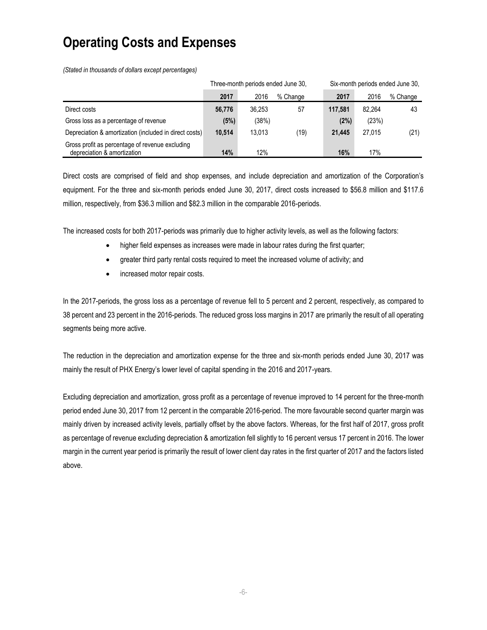# **Operating Costs and Expenses**

*(Stated in thousands of dollars except percentages)*

|                                                                                |        | Three-month periods ended June 30, |          | Six-month periods ended June 30, |        |          |
|--------------------------------------------------------------------------------|--------|------------------------------------|----------|----------------------------------|--------|----------|
|                                                                                | 2017   | 2016                               | % Change | 2017                             | 2016   | % Change |
| Direct costs                                                                   | 56,776 | 36.253                             | 57       | 117.581                          | 82.264 | 43       |
| Gross loss as a percentage of revenue                                          | (5%)   | (38%)                              |          | (2%)                             | (23%)  |          |
| Depreciation & amortization (included in direct costs)                         | 10.514 | 13.013                             | (19)     | 21.445                           | 27.015 | (21)     |
| Gross profit as percentage of revenue excluding<br>depreciation & amortization | 14%    | 12%                                |          | 16%                              | 17%    |          |

Direct costs are comprised of field and shop expenses, and include depreciation and amortization of the Corporation's equipment. For the three and six-month periods ended June 30, 2017, direct costs increased to \$56.8 million and \$117.6 million, respectively, from \$36.3 million and \$82.3 million in the comparable 2016-periods.

The increased costs for both 2017-periods was primarily due to higher activity levels, as well as the following factors:

- higher field expenses as increases were made in labour rates during the first quarter;
- greater third party rental costs required to meet the increased volume of activity; and
- increased motor repair costs.

In the 2017-periods, the gross loss as a percentage of revenue fell to 5 percent and 2 percent, respectively, as compared to 38 percent and 23 percent in the 2016-periods. The reduced gross loss margins in 2017 are primarily the result of all operating segments being more active.

The reduction in the depreciation and amortization expense for the three and six-month periods ended June 30, 2017 was mainly the result of PHX Energy's lower level of capital spending in the 2016 and 2017-years.

Excluding depreciation and amortization, gross profit as a percentage of revenue improved to 14 percent for the three-month period ended June 30, 2017 from 12 percent in the comparable 2016-period. The more favourable second quarter margin was mainly driven by increased activity levels, partially offset by the above factors. Whereas, for the first half of 2017, gross profit as percentage of revenue excluding depreciation & amortization fell slightly to 16 percent versus 17 percent in 2016. The lower margin in the current year period is primarily the result of lower client day rates in the first quarter of 2017 and the factors listed above.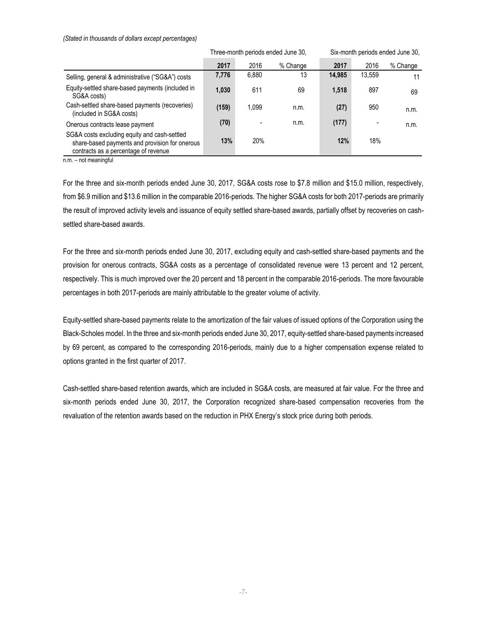#### *(Stated in thousands of dollars except percentages)*

|                                                                                                                                        | Three-month periods ended June 30, |       |          | Six-month periods ended June 30, |        |          |
|----------------------------------------------------------------------------------------------------------------------------------------|------------------------------------|-------|----------|----------------------------------|--------|----------|
|                                                                                                                                        | 2017                               | 2016  | % Change | 2017                             | 2016   | % Change |
| Selling, general & administrative ("SG&A") costs                                                                                       | 7,776                              | 6,880 | 13       | 14,985                           | 13,559 | 11       |
| Equity-settled share-based payments (included in<br>SG&A costs)                                                                        | 1,030                              | 611   | 69       | 1,518                            | 897    | 69       |
| Cash-settled share-based payments (recoveries)<br>(included in SG&A costs)                                                             | (159)                              | 1.099 | n.m.     | (27)                             | 950    | n.m.     |
| Onerous contracts lease payment                                                                                                        | (70)                               |       | n.m.     | (177)                            |        | n.m.     |
| SG&A costs excluding equity and cash-settled<br>share-based payments and provision for onerous<br>contracts as a percentage of revenue | 13%                                | 20%   |          | 12%                              | 18%    |          |

n.m. – not meaningful

For the three and six-month periods ended June 30, 2017, SG&A costs rose to \$7.8 million and \$15.0 million, respectively, from \$6.9 million and \$13.6 million in the comparable 2016-periods. The higher SG&A costs for both 2017-periods are primarily the result of improved activity levels and issuance of equity settled share-based awards, partially offset by recoveries on cashsettled share-based awards.

For the three and six-month periods ended June 30, 2017, excluding equity and cash-settled share-based payments and the provision for onerous contracts, SG&A costs as a percentage of consolidated revenue were 13 percent and 12 percent, respectively. This is much improved over the 20 percent and 18 percent in the comparable 2016-periods. The more favourable percentages in both 2017-periods are mainly attributable to the greater volume of activity.

Equity-settled share-based payments relate to the amortization of the fair values of issued options of the Corporation using the Black-Scholes model. In the three and six-month periods ended June 30, 2017, equity-settled share-based payments increased by 69 percent, as compared to the corresponding 2016-periods, mainly due to a higher compensation expense related to options granted in the first quarter of 2017.

Cash-settled share-based retention awards, which are included in SG&A costs, are measured at fair value. For the three and six-month periods ended June 30, 2017, the Corporation recognized share-based compensation recoveries from the revaluation of the retention awards based on the reduction in PHX Energy's stock price during both periods.

-7-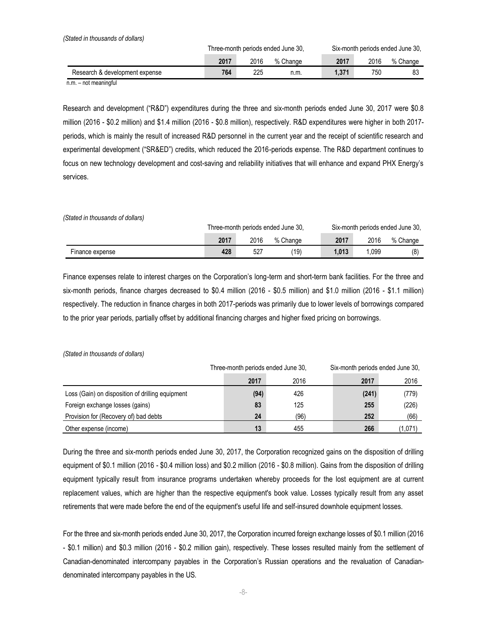| (Stated in thousands of dollars) |      |      |                                    |       |      |                                  |
|----------------------------------|------|------|------------------------------------|-------|------|----------------------------------|
|                                  |      |      | Three-month periods ended June 30, |       |      | Six-month periods ended June 30. |
|                                  | 2017 | 2016 | % Change                           | 2017  | 2016 | % Change                         |
| Research & development expense   | 764  | 225  | n.m.                               | 1.371 | 750  | 83                               |

n.m. – not meaningful

Research and development ("R&D") expenditures during the three and six-month periods ended June 30, 2017 were \$0.8 million (2016 - \$0.2 million) and \$1.4 million (2016 - \$0.8 million), respectively. R&D expenditures were higher in both 2017 periods, which is mainly the result of increased R&D personnel in the current year and the receipt of scientific research and experimental development ("SR&ED") credits, which reduced the 2016-periods expense. The R&D department continues to focus on new technology development and cost-saving and reliability initiatives that will enhance and expand PHX Energy's services.

*(Stated in thousands of dollars)*

|                 | Three-month periods ended June 30, |          |          | Six-month periods ended June 30, |      |          |
|-----------------|------------------------------------|----------|----------|----------------------------------|------|----------|
|                 | 2017                               | 2016     | % Change | 2017                             | 2016 | % Change |
| Finance expense | 428                                | $52^{-}$ | '19'     | 1.013                            | .099 | (8)      |

Finance expenses relate to interest charges on the Corporation's long-term and short-term bank facilities. For the three and six-month periods, finance charges decreased to \$0.4 million (2016 - \$0.5 million) and \$1.0 million (2016 - \$1.1 million) respectively. The reduction in finance charges in both 2017-periods was primarily due to lower levels of borrowings compared to the prior year periods, partially offset by additional financing charges and higher fixed pricing on borrowings.

|                                                  | Three-month periods ended June 30, |      | Six-month periods ended June 30, |         |  |
|--------------------------------------------------|------------------------------------|------|----------------------------------|---------|--|
|                                                  | 2017                               | 2016 | 2017                             | 2016    |  |
| Loss (Gain) on disposition of drilling equipment | (94)                               | 426  | (241)                            | (779)   |  |
| Foreign exchange losses (gains)                  | 83                                 | 125  | 255                              | (226)   |  |
| Provision for (Recovery of) bad debts            | 24                                 | (96) | 252                              | (66)    |  |
| Other expense (income)                           | 13                                 | 455  | 266                              | (1,071) |  |

*(Stated in thousands of dollars)*

During the three and six-month periods ended June 30, 2017, the Corporation recognized gains on the disposition of drilling equipment of \$0.1 million (2016 - \$0.4 million loss) and \$0.2 million (2016 - \$0.8 million). Gains from the disposition of drilling equipment typically result from insurance programs undertaken whereby proceeds for the lost equipment are at current replacement values, which are higher than the respective equipment's book value. Losses typically result from any asset retirements that were made before the end of the equipment's useful life and self-insured downhole equipment losses.

For the three and six-month periods ended June 30, 2017, the Corporation incurred foreign exchange losses of \$0.1 million (2016 - \$0.1 million) and \$0.3 million (2016 - \$0.2 million gain), respectively. These losses resulted mainly from the settlement of Canadian-denominated intercompany payables in the Corporation's Russian operations and the revaluation of Canadiandenominated intercompany payables in the US.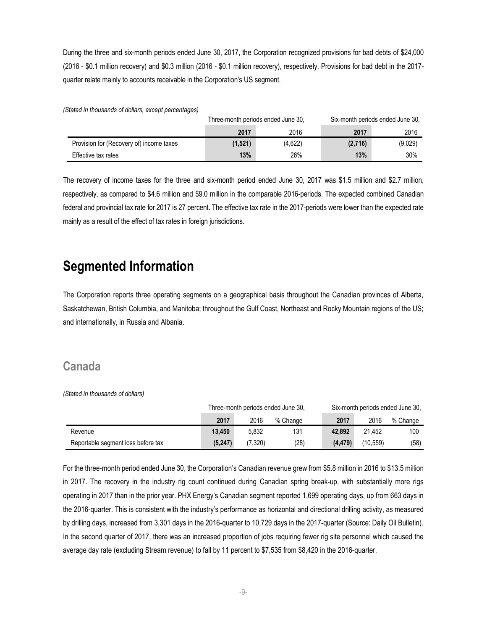During the three and six-month periods ended June 30, 2017, the Corporation recognized provisions for bad debts of \$24,000 (2016 - \$0.1 million recovery) and \$0.3 million (2016 - \$0.1 million recovery), respectively. Provisions for bad debt in the 2017 quarter relate mainly to accounts receivable in the Corporation's US segment.

*(Stated in thousands of dollars, except percentages)*

|                                          |         | Three-month periods ended June 30. | Six-month periods ended June 30, |         |  |
|------------------------------------------|---------|------------------------------------|----------------------------------|---------|--|
|                                          | 2017    | 2016                               | 2017                             | 2016    |  |
| Provision for (Recovery of) income taxes | (1,521) | (4,622)                            | (2,716)                          | (9,029) |  |
| Effective tax rates                      | 13%     | 26%                                | 13%                              | 30%     |  |

The recovery of income taxes for the three and six-month period ended June 30, 2017 was \$1.5 million and \$2.7 million, respectively, as compared to \$4.6 million and \$9.0 million in the comparable 2016-periods. The expected combined Canadian federal and provincial tax rate for 2017 is 27 percent. The effective tax rate in the 2017-periods were lower than the expected rate mainly as a result of the effect of tax rates in foreign jurisdictions.

## **Segmented Information**

The Corporation reports three operating segments on a geographical basis throughout the Canadian provinces of Alberta, Saskatchewan, British Columbia, and Manitoba; throughout the Gulf Coast, Northeast and Rocky Mountain regions of the US; and internationally, in Russia and Albania.

#### **Canada**

*(Stated in thousands of dollars)*

|                                    | Three-month periods ended June 30, |         |          | Six-month periods ended June 30. |          |          |
|------------------------------------|------------------------------------|---------|----------|----------------------------------|----------|----------|
|                                    | 2017                               | 2016    | % Change | 2017                             | 2016     | % Change |
| Revenue                            | 13.450                             | 5.832   | 131      | 42.892                           | 21.452   | 100      |
| Reportable segment loss before tax | (5.247)                            | (7.320) | (28)     | (4.479)                          | (10.559) | (58)     |

For the three-month period ended June 30, the Corporation's Canadian revenue grew from \$5.8 million in 2016 to \$13.5 million in 2017. The recovery in the industry rig count continued during Canadian spring break-up, with substantially more rigs operating in 2017 than in the prior year. PHX Energy's Canadian segment reported 1,699 operating days, up from 663 days in the 2016-quarter. This is consistent with the industry's performance as horizontal and directional drilling activity, as measured by drilling days, increased from 3,301 days in the 2016-quarter to 10,729 days in the 2017-quarter (Source: Daily Oil Bulletin). In the second quarter of 2017, there was an increased proportion of jobs requiring fewer rig site personnel which caused the average day rate (excluding Stream revenue) to fall by 11 percent to \$7,535 from \$8,420 in the 2016-quarter.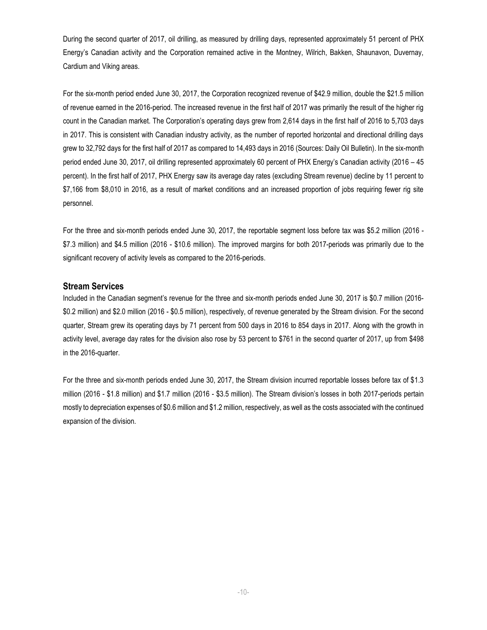During the second quarter of 2017, oil drilling, as measured by drilling days, represented approximately 51 percent of PHX Energy's Canadian activity and the Corporation remained active in the Montney, Wilrich, Bakken, Shaunavon, Duvernay, Cardium and Viking areas.

For the six-month period ended June 30, 2017, the Corporation recognized revenue of \$42.9 million, double the \$21.5 million of revenue earned in the 2016-period. The increased revenue in the first half of 2017 was primarily the result of the higher rig count in the Canadian market. The Corporation's operating days grew from 2,614 days in the first half of 2016 to 5,703 days in 2017. This is consistent with Canadian industry activity, as the number of reported horizontal and directional drilling days grew to 32,792 days for the first half of 2017 as compared to 14,493 days in 2016 (Sources: Daily Oil Bulletin). In the six-month period ended June 30, 2017, oil drilling represented approximately 60 percent of PHX Energy's Canadian activity (2016 – 45 percent). In the first half of 2017, PHX Energy saw its average day rates (excluding Stream revenue) decline by 11 percent to \$7,166 from \$8,010 in 2016, as a result of market conditions and an increased proportion of jobs requiring fewer rig site personnel.

For the three and six-month periods ended June 30, 2017, the reportable segment loss before tax was \$5.2 million (2016 - \$7.3 million) and \$4.5 million (2016 - \$10.6 million). The improved margins for both 2017-periods was primarily due to the significant recovery of activity levels as compared to the 2016-periods.

#### **Stream Services**

Included in the Canadian segment's revenue for the three and six-month periods ended June 30, 2017 is \$0.7 million (2016- \$0.2 million) and \$2.0 million (2016 - \$0.5 million), respectively, of revenue generated by the Stream division. For the second quarter, Stream grew its operating days by 71 percent from 500 days in 2016 to 854 days in 2017. Along with the growth in activity level, average day rates for the division also rose by 53 percent to \$761 in the second quarter of 2017, up from \$498 in the 2016-quarter.

For the three and six-month periods ended June 30, 2017, the Stream division incurred reportable losses before tax of \$1.3 million (2016 - \$1.8 million) and \$1.7 million (2016 - \$3.5 million). The Stream division's losses in both 2017-periods pertain mostly to depreciation expenses of \$0.6 million and \$1.2 million, respectively, as well as the costs associated with the continued expansion of the division.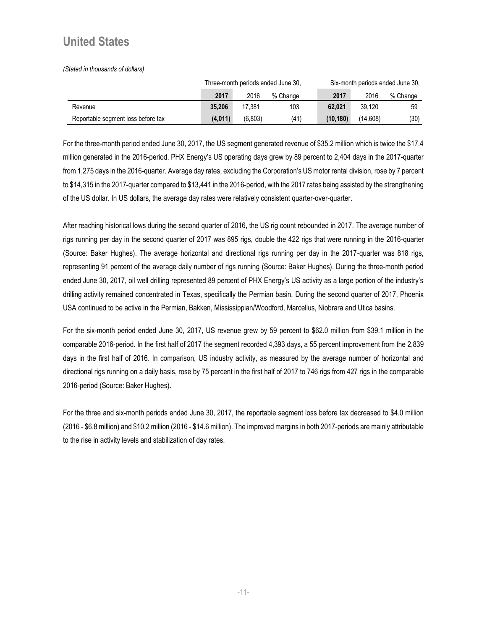### **United States**

*(Stated in thousands of dollars)*

|                                    | Three-month periods ended June 30, |         |          | Six-month periods ended June 30. |          |          |
|------------------------------------|------------------------------------|---------|----------|----------------------------------|----------|----------|
|                                    | 2017                               | 2016    | % Change | 2017                             | 2016     | % Change |
| Revenue                            | 35.206                             | 17.381  | 103      | 62.021                           | 39.120   | 59       |
| Reportable segment loss before tax | (4.011)                            | (6.803) | (41)     | (10.180)                         | (14.608) | (30)     |

For the three-month period ended June 30, 2017, the US segment generated revenue of \$35.2 million which is twice the \$17.4 million generated in the 2016-period. PHX Energy's US operating days grew by 89 percent to 2,404 days in the 2017-quarter from 1,275 days in the 2016-quarter. Average day rates, excluding the Corporation's US motor rental division, rose by 7 percent to \$14,315 in the 2017-quarter compared to \$13,441 in the 2016-period, with the 2017 rates being assisted by the strengthening of the US dollar. In US dollars, the average day rates were relatively consistent quarter-over-quarter.

After reaching historical lows during the second quarter of 2016, the US rig count rebounded in 2017. The average number of rigs running per day in the second quarter of 2017 was 895 rigs, double the 422 rigs that were running in the 2016-quarter (Source: Baker Hughes). The average horizontal and directional rigs running per day in the 2017-quarter was 818 rigs, representing 91 percent of the average daily number of rigs running (Source: Baker Hughes). During the three-month period ended June 30, 2017, oil well drilling represented 89 percent of PHX Energy's US activity as a large portion of the industry's drilling activity remained concentrated in Texas, specifically the Permian basin. During the second quarter of 2017, Phoenix USA continued to be active in the Permian, Bakken, Mississippian/Woodford, Marcellus, Niobrara and Utica basins.

For the six-month period ended June 30, 2017, US revenue grew by 59 percent to \$62.0 million from \$39.1 million in the comparable 2016-period. In the first half of 2017 the segment recorded 4,393 days, a 55 percent improvement from the 2,839 days in the first half of 2016. In comparison, US industry activity, as measured by the average number of horizontal and directional rigs running on a daily basis, rose by 75 percent in the first half of 2017 to 746 rigs from 427 rigs in the comparable 2016-period (Source: Baker Hughes).

For the three and six-month periods ended June 30, 2017, the reportable segment loss before tax decreased to \$4.0 million (2016 - \$6.8 million) and \$10.2 million (2016 - \$14.6 million). The improved margins in both 2017-periods are mainly attributable to the rise in activity levels and stabilization of day rates.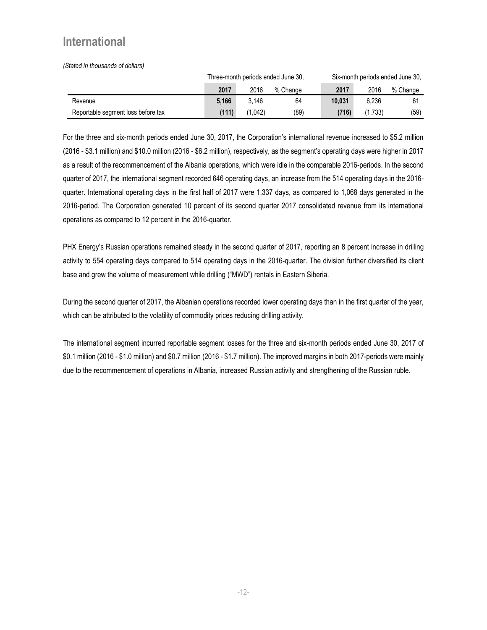## **International**

*(Stated in thousands of dollars)*

|                                    | Three-month periods ended June 30, |         |          | Six-month periods ended June 30, |         |          |
|------------------------------------|------------------------------------|---------|----------|----------------------------------|---------|----------|
|                                    | 2017                               | 2016    | % Change | 2017                             | 2016    | % Change |
| Revenue                            | 5.166                              | 3.146   | 64       | 10.031                           | 6.236   | 61       |
| Reportable segment loss before tax | (111)                              | (1.042) | (89)     | (716)                            | (1.733) | (59)     |

For the three and six-month periods ended June 30, 2017, the Corporation's international revenue increased to \$5.2 million (2016 - \$3.1 million) and \$10.0 million (2016 - \$6.2 million), respectively, as the segment's operating days were higher in 2017 as a result of the recommencement of the Albania operations, which were idle in the comparable 2016-periods. In the second quarter of 2017, the international segment recorded 646 operating days, an increase from the 514 operating days in the 2016 quarter. International operating days in the first half of 2017 were 1,337 days, as compared to 1,068 days generated in the 2016-period. The Corporation generated 10 percent of its second quarter 2017 consolidated revenue from its international operations as compared to 12 percent in the 2016-quarter.

PHX Energy's Russian operations remained steady in the second quarter of 2017, reporting an 8 percent increase in drilling activity to 554 operating days compared to 514 operating days in the 2016-quarter. The division further diversified its client base and grew the volume of measurement while drilling ("MWD") rentals in Eastern Siberia.

During the second quarter of 2017, the Albanian operations recorded lower operating days than in the first quarter of the year, which can be attributed to the volatility of commodity prices reducing drilling activity.

The international segment incurred reportable segment losses for the three and six-month periods ended June 30, 2017 of \$0.1 million (2016 - \$1.0 million) and \$0.7 million (2016 - \$1.7 million). The improved margins in both 2017-periods were mainly due to the recommencement of operations in Albania, increased Russian activity and strengthening of the Russian ruble.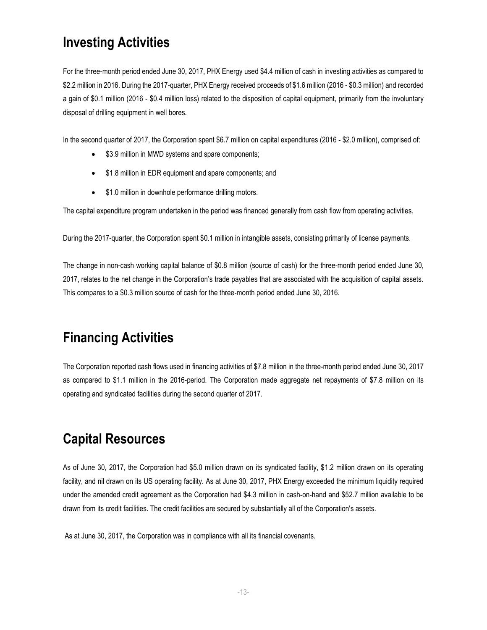## **Investing Activities**

For the three-month period ended June 30, 2017, PHX Energy used \$4.4 million of cash in investing activities as compared to \$2.2 million in 2016. During the 2017-quarter, PHX Energy received proceeds of \$1.6 million (2016 - \$0.3 million) and recorded a gain of \$0.1 million (2016 - \$0.4 million loss) related to the disposition of capital equipment, primarily from the involuntary disposal of drilling equipment in well bores.

In the second quarter of 2017, the Corporation spent \$6.7 million on capital expenditures (2016 - \$2.0 million), comprised of:

- \$3.9 million in MWD systems and spare components;
- \$1.8 million in EDR equipment and spare components; and
- \$1.0 million in downhole performance drilling motors.

The capital expenditure program undertaken in the period was financed generally from cash flow from operating activities.

During the 2017-quarter, the Corporation spent \$0.1 million in intangible assets, consisting primarily of license payments.

The change in non-cash working capital balance of \$0.8 million (source of cash) for the three-month period ended June 30, 2017, relates to the net change in the Corporation's trade payables that are associated with the acquisition of capital assets. This compares to a \$0.3 million source of cash for the three-month period ended June 30, 2016.

## **Financing Activities**

The Corporation reported cash flows used in financing activities of \$7.8 million in the three-month period ended June 30, 2017 as compared to \$1.1 million in the 2016-period. The Corporation made aggregate net repayments of \$7.8 million on its operating and syndicated facilities during the second quarter of 2017.

## **Capital Resources**

As of June 30, 2017, the Corporation had \$5.0 million drawn on its syndicated facility, \$1.2 million drawn on its operating facility, and nil drawn on its US operating facility. As at June 30, 2017, PHX Energy exceeded the minimum liquidity required under the amended credit agreement as the Corporation had \$4.3 million in cash-on-hand and \$52.7 million available to be drawn from its credit facilities. The credit facilities are secured by substantially all of the Corporation's assets.

As at June 30, 2017, the Corporation was in compliance with all its financial covenants.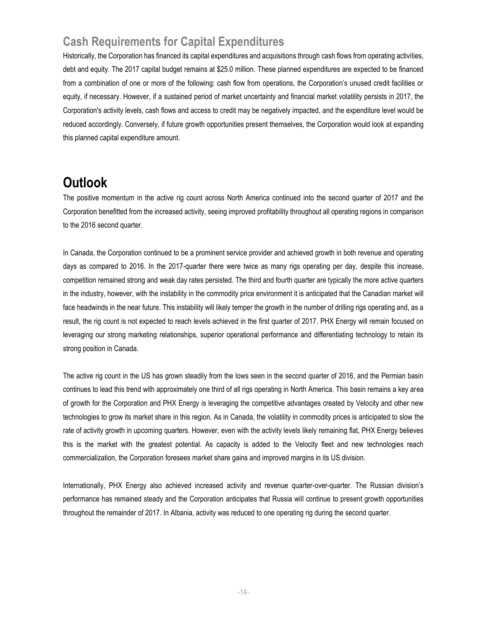## **Cash Requirements for Capital Expenditures**

Historically, the Corporation has financed its capital expenditures and acquisitions through cash flows from operating activities, debt and equity. The 2017 capital budget remains at \$25.0 million. These planned expenditures are expected to be financed from a combination of one or more of the following: cash flow from operations, the Corporation's unused credit facilities or equity, if necessary. However, if a sustained period of market uncertainty and financial market volatility persists in 2017, the Corporation's activity levels, cash flows and access to credit may be negatively impacted, and the expenditure level would be reduced accordingly. Conversely, if future growth opportunities present themselves, the Corporation would look at expanding this planned capital expenditure amount.

## **Outlook**

The positive momentum in the active rig count across North America continued into the second quarter of 2017 and the Corporation benefitted from the increased activity, seeing improved profitability throughout all operating regions in comparison to the 2016 second quarter.

In Canada, the Corporation continued to be a prominent service provider and achieved growth in both revenue and operating days as compared to 2016. In the 2017-quarter there were twice as many rigs operating per day, despite this increase, competition remained strong and weak day rates persisted. The third and fourth quarter are typically the more active quarters in the industry, however, with the instability in the commodity price environment it is anticipated that the Canadian market will face headwinds in the near future. This instability will likely temper the growth in the number of drilling rigs operating and, as a result, the rig count is not expected to reach levels achieved in the first quarter of 2017. PHX Energy will remain focused on leveraging our strong marketing relationships, superior operational performance and differentiating technology to retain its strong position in Canada.

The active rig count in the US has grown steadily from the lows seen in the second quarter of 2016, and the Permian basin continues to lead this trend with approximately one third of all rigs operating in North America. This basin remains a key area of growth for the Corporation and PHX Energy is leveraging the competitive advantages created by Velocity and other new technologies to grow its market share in this region. As in Canada, the volatility in commodity prices is anticipated to slow the rate of activity growth in upcoming quarters. However, even with the activity levels likely remaining flat, PHX Energy believes this is the market with the greatest potential. As capacity is added to the Velocity fleet and new technologies reach commercialization, the Corporation foresees market share gains and improved margins in its US division.

Internationally, PHX Energy also achieved increased activity and revenue quarter-over-quarter. The Russian division's performance has remained steady and the Corporation anticipates that Russia will continue to present growth opportunities throughout the remainder of 2017. In Albania, activity was reduced to one operating rig during the second quarter.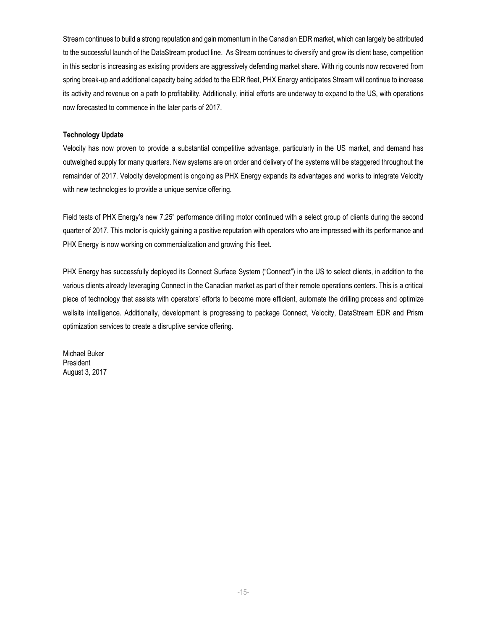Stream continues to build a strong reputation and gain momentum in the Canadian EDR market, which can largely be attributed to the successful launch of the DataStream product line. As Stream continues to diversify and grow its client base, competition in this sector is increasing as existing providers are aggressively defending market share. With rig counts now recovered from spring break-up and additional capacity being added to the EDR fleet, PHX Energy anticipates Stream will continue to increase its activity and revenue on a path to profitability. Additionally, initial efforts are underway to expand to the US, with operations now forecasted to commence in the later parts of 2017.

#### **Technology Update**

Velocity has now proven to provide a substantial competitive advantage, particularly in the US market, and demand has outweighed supply for many quarters. New systems are on order and delivery of the systems will be staggered throughout the remainder of 2017. Velocity development is ongoing as PHX Energy expands its advantages and works to integrate Velocity with new technologies to provide a unique service offering.

Field tests of PHX Energy's new 7.25" performance drilling motor continued with a select group of clients during the second quarter of 2017. This motor is quickly gaining a positive reputation with operators who are impressed with its performance and PHX Energy is now working on commercialization and growing this fleet.

PHX Energy has successfully deployed its Connect Surface System ("Connect") in the US to select clients, in addition to the various clients already leveraging Connect in the Canadian market as part of their remote operations centers. This is a critical piece of technology that assists with operators' efforts to become more efficient, automate the drilling process and optimize wellsite intelligence. Additionally, development is progressing to package Connect, Velocity, DataStream EDR and Prism optimization services to create a disruptive service offering.

Michael Buker President August 3, 2017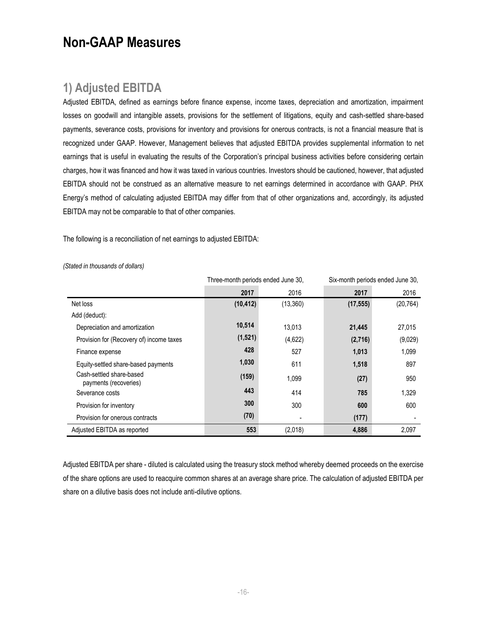## **Non-GAAP Measures**

#### **1) Adjusted EBITDA**

Adjusted EBITDA, defined as earnings before finance expense, income taxes, depreciation and amortization, impairment losses on goodwill and intangible assets, provisions for the settlement of litigations, equity and cash-settled share-based payments, severance costs, provisions for inventory and provisions for onerous contracts, is not a financial measure that is recognized under GAAP. However, Management believes that adjusted EBITDA provides supplemental information to net earnings that is useful in evaluating the results of the Corporation's principal business activities before considering certain charges, how it was financed and how it was taxed in various countries. Investors should be cautioned, however, that adjusted EBITDA should not be construed as an alternative measure to net earnings determined in accordance with GAAP. PHX Energy's method of calculating adjusted EBITDA may differ from that of other organizations and, accordingly, its adjusted EBITDA may not be comparable to that of other companies.

The following is a reconciliation of net earnings to adjusted EBITDA:

|                                                   | Three-month periods ended June 30, |          | Six-month periods ended June 30, |           |  |
|---------------------------------------------------|------------------------------------|----------|----------------------------------|-----------|--|
|                                                   | 2017                               | 2016     | 2017                             | 2016      |  |
| Net loss                                          | (10, 412)                          | (13,360) | (17, 555)                        | (20, 764) |  |
| Add (deduct):                                     |                                    |          |                                  |           |  |
| Depreciation and amortization                     | 10,514                             | 13.013   | 21,445                           | 27,015    |  |
| Provision for (Recovery of) income taxes          | (1,521)                            | (4,622)  | (2,716)                          | (9,029)   |  |
| Finance expense                                   | 428                                | 527      | 1,013                            | 1,099     |  |
| Equity-settled share-based payments               | 1,030                              | 611      | 1,518                            | 897       |  |
| Cash-settled share-based<br>payments (recoveries) | (159)                              | 1,099    | (27)                             | 950       |  |
| Severance costs                                   | 443                                | 414      | 785                              | 1,329     |  |
| Provision for inventory                           | 300                                | 300      | 600                              | 600       |  |
| Provision for onerous contracts                   | (70)                               |          | (177)                            |           |  |
| Adjusted EBITDA as reported                       | 553                                | (2,018)  | 4,886                            | 2,097     |  |

*(Stated in thousands of dollars)*

Adjusted EBITDA per share - diluted is calculated using the treasury stock method whereby deemed proceeds on the exercise of the share options are used to reacquire common shares at an average share price. The calculation of adjusted EBITDA per share on a dilutive basis does not include anti-dilutive options.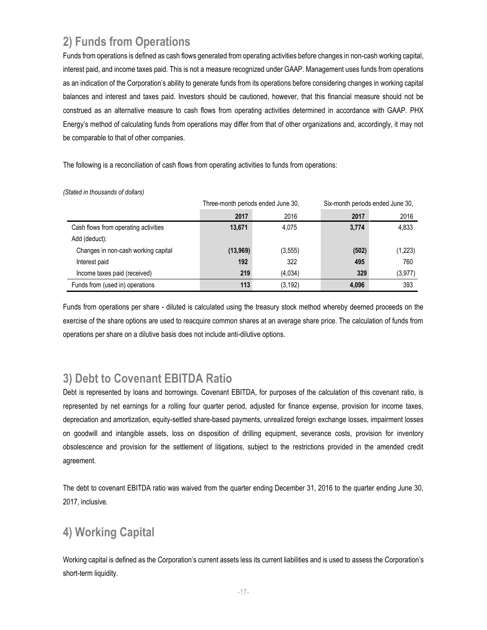## **2) Funds from Operations**

Funds from operations is defined as cash flows generated from operating activities before changes in non-cash working capital, interest paid, and income taxes paid. This is not a measure recognized under GAAP. Management uses funds from operations as an indication of the Corporation's ability to generate funds from its operations before considering changes in working capital balances and interest and taxes paid. Investors should be cautioned, however, that this financial measure should not be construed as an alternative measure to cash flows from operating activities determined in accordance with GAAP. PHX Energy's method of calculating funds from operations may differ from that of other organizations and, accordingly, it may not be comparable to that of other companies.

The following is a reconciliation of cash flows from operating activities to funds from operations:

|                                      | Three-month periods ended June 30, |          | Six-month periods ended June 30, |          |  |  |
|--------------------------------------|------------------------------------|----------|----------------------------------|----------|--|--|
|                                      | 2017                               | 2016     | 2017                             | 2016     |  |  |
| Cash flows from operating activities | 13,671                             | 4.075    | 3,774                            | 4,833    |  |  |
| Add (deduct):                        |                                    |          |                                  |          |  |  |
| Changes in non-cash working capital  | (13,969)                           | (3, 555) | (502)                            | (1,223)  |  |  |
| Interest paid                        | 192                                | 322      | 495                              | 760      |  |  |
| Income taxes paid (received)         | 219                                | (4,034)  | 329                              | (3, 977) |  |  |
| Funds from (used in) operations      | 113                                | (3, 192) | 4,096                            | 393      |  |  |

*(Stated in thousands of dollars)*

Funds from operations per share - diluted is calculated using the treasury stock method whereby deemed proceeds on the exercise of the share options are used to reacquire common shares at an average share price. The calculation of funds from operations per share on a dilutive basis does not include anti-dilutive options.

## **3) Debt to Covenant EBITDA Ratio**

Debt is represented by loans and borrowings. Covenant EBITDA, for purposes of the calculation of this covenant ratio, is represented by net earnings for a rolling four quarter period, adjusted for finance expense, provision for income taxes, depreciation and amortization, equity-settled share-based payments, unrealized foreign exchange losses, impairment losses on goodwill and intangible assets, loss on disposition of drilling equipment, severance costs, provision for inventory obsolescence and provision for the settlement of litigations, subject to the restrictions provided in the amended credit agreement.

The debt to covenant EBITDA ratio was waived from the quarter ending December 31, 2016 to the quarter ending June 30, 2017, inclusive.

## **4) Working Capital**

Working capital is defined as the Corporation's current assets less its current liabilities and is used to assess the Corporation's short-term liquidity.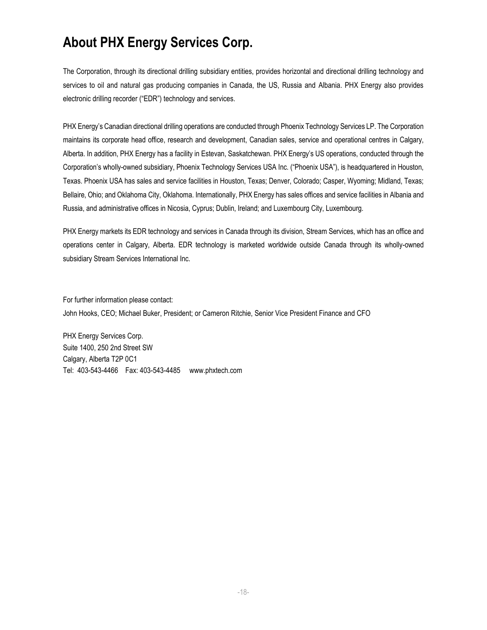## **About PHX Energy Services Corp.**

The Corporation, through its directional drilling subsidiary entities, provides horizontal and directional drilling technology and services to oil and natural gas producing companies in Canada, the US, Russia and Albania. PHX Energy also provides electronic drilling recorder ("EDR") technology and services.

PHX Energy's Canadian directional drilling operations are conducted through Phoenix Technology Services LP. The Corporation maintains its corporate head office, research and development, Canadian sales, service and operational centres in Calgary, Alberta. In addition, PHX Energy has a facility in Estevan, Saskatchewan. PHX Energy's US operations, conducted through the Corporation's wholly-owned subsidiary, Phoenix Technology Services USA Inc. ("Phoenix USA"), is headquartered in Houston, Texas. Phoenix USA has sales and service facilities in Houston, Texas; Denver, Colorado; Casper, Wyoming; Midland, Texas; Bellaire, Ohio; and Oklahoma City, Oklahoma. Internationally, PHX Energy has sales offices and service facilities in Albania and Russia, and administrative offices in Nicosia, Cyprus; Dublin, Ireland; and Luxembourg City, Luxembourg.

PHX Energy markets its EDR technology and services in Canada through its division, Stream Services, which has an office and operations center in Calgary, Alberta. EDR technology is marketed worldwide outside Canada through its wholly-owned subsidiary Stream Services International Inc.

For further information please contact: John Hooks, CEO; Michael Buker, President; or Cameron Ritchie, Senior Vice President Finance and CFO

PHX Energy Services Corp. Suite 1400, 250 2nd Street SW Calgary, Alberta T2P 0C1 Tel: 403-543-4466 Fax: 403-543-4485 [www.phxtech.com](http://www.phoenixcan.com/)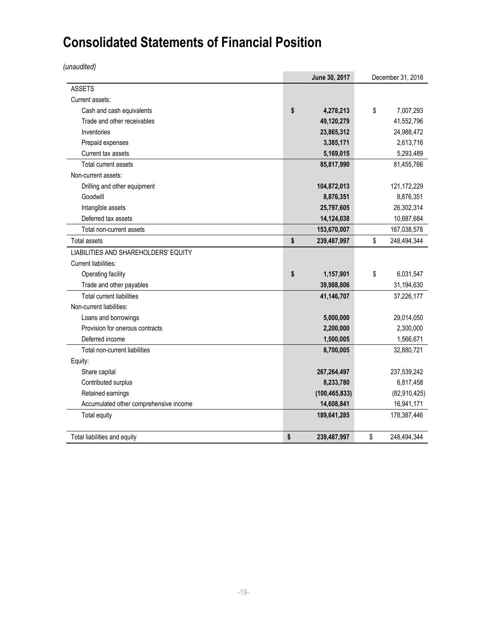# **Consolidated Statements of Financial Position**

*(unaudited)*

|                                        | June 30, 2017     | December 31, 2016 |              |  |
|----------------------------------------|-------------------|-------------------|--------------|--|
| <b>ASSETS</b>                          |                   |                   |              |  |
| Current assets:                        |                   |                   |              |  |
| Cash and cash equivalents              | \$<br>4,278,213   | \$                | 7,007,293    |  |
| Trade and other receivables            | 49,120,279        |                   | 41,552,796   |  |
| Inventories                            | 23,865,312        |                   | 24,988,472   |  |
| Prepaid expenses                       | 3,385,171         |                   | 2,613,716    |  |
| Current tax assets                     | 5,169,015         |                   | 5,293,489    |  |
| <b>Total current assets</b>            | 85,817,990        |                   | 81,455,766   |  |
| Non-current assets:                    |                   |                   |              |  |
| Drilling and other equipment           | 104,872,013       |                   | 121,172,229  |  |
| Goodwill                               | 8,876,351         |                   | 8,876,351    |  |
| Intangible assets                      | 25,797,605        |                   | 26,302,314   |  |
| Deferred tax assets                    | 14,124,038        |                   | 10,687,684   |  |
| Total non-current assets               | 153,670,007       |                   | 167,038,578  |  |
| <b>Total assets</b>                    | \$<br>239,487,997 | \$                | 248,494,344  |  |
| LIABILITIES AND SHAREHOLDERS' EQUITY   |                   |                   |              |  |
| Current liabilities:                   |                   |                   |              |  |
| Operating facility                     | \$<br>1,157,901   | \$                | 6,031,547    |  |
| Trade and other payables               | 39,988,806        |                   | 31,194,630   |  |
| <b>Total current liabilities</b>       | 41,146,707        |                   | 37,226,177   |  |
| Non-current liabilities:               |                   |                   |              |  |
| Loans and borrowings                   | 5,000,000         |                   | 29,014,050   |  |
| Provision for onerous contracts        | 2,200,000         |                   | 2,300,000    |  |
| Deferred income                        | 1,500,005         |                   | 1,566,671    |  |
| Total non-current liabilities          | 8,700,005         |                   | 32,880,721   |  |
| Equity:                                |                   |                   |              |  |
| Share capital                          | 267,264,497       |                   | 237,539,242  |  |
| Contributed surplus                    | 8,233,780         |                   | 6,817,458    |  |
| Retained earnings                      | (100, 465, 833)   |                   | (82,910,425) |  |
| Accumulated other comprehensive income | 14,608,841        |                   | 16,941,171   |  |
| Total equity                           | 189,641,285       |                   | 178,387,446  |  |
| Total liabilities and equity           | \$<br>239,487,997 | \$                | 248,494,344  |  |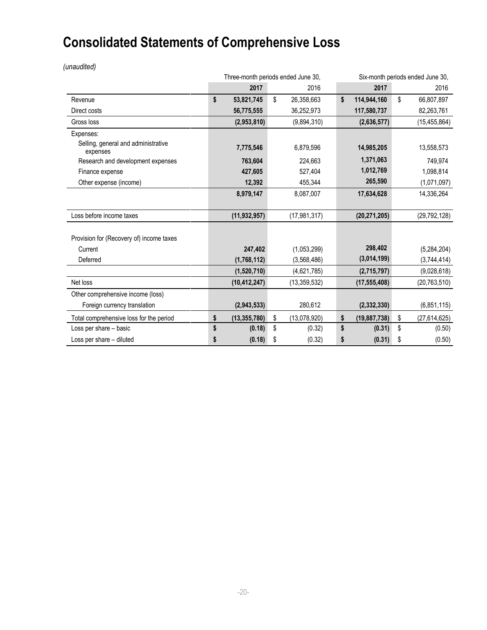# **Consolidated Statements of Comprehensive Loss**

*(unaudited)*

|                                                 | Three-month periods ended June 30, |                |    |                | Six-month periods ended June 30, |                |    |                |
|-------------------------------------------------|------------------------------------|----------------|----|----------------|----------------------------------|----------------|----|----------------|
|                                                 |                                    | 2017           |    | 2016           |                                  | 2017           |    | 2016           |
| Revenue                                         | \$                                 | 53,821,745     | \$ | 26,358,663     | \$                               | 114,944,160    | \$ | 66,807,897     |
| Direct costs                                    |                                    | 56,775,555     |    | 36,252,973     |                                  | 117,580,737    |    | 82,263,761     |
| Gross loss                                      |                                    | (2,953,810)    |    | (9,894,310)    |                                  | (2,636,577)    |    | (15, 455, 864) |
| Expenses:                                       |                                    |                |    |                |                                  |                |    |                |
| Selling, general and administrative<br>expenses |                                    | 7,775,546      |    | 6,879,596      |                                  | 14,985,205     |    | 13,558,573     |
| Research and development expenses               |                                    | 763,604        |    | 224,663        |                                  | 1,371,063      |    | 749,974        |
| Finance expense                                 |                                    | 427,605        |    | 527,404        |                                  | 1,012,769      |    | 1,098,814      |
| Other expense (income)                          |                                    | 12,392         |    | 455,344        |                                  | 265,590        |    | (1,071,097)    |
|                                                 |                                    | 8,979,147      |    | 8,087,007      |                                  | 17,634,628     |    | 14,336,264     |
|                                                 |                                    |                |    |                |                                  |                |    |                |
| Loss before income taxes                        |                                    | (11, 932, 957) |    | (17, 981, 317) |                                  | (20, 271, 205) |    | (29, 792, 128) |
|                                                 |                                    |                |    |                |                                  |                |    |                |
| Provision for (Recovery of) income taxes        |                                    |                |    |                |                                  |                |    |                |
| Current                                         |                                    | 247,402        |    | (1,053,299)    |                                  | 298,402        |    | (5,284,204)    |
| Deferred                                        |                                    | (1,768,112)    |    | (3,568,486)    |                                  | (3,014,199)    |    | (3,744,414)    |
|                                                 |                                    | (1,520,710)    |    | (4,621,785)    |                                  | (2,715,797)    |    | (9,028,618)    |
| Net loss                                        |                                    | (10, 412, 247) |    | (13, 359, 532) |                                  | (17, 555, 408) |    | (20, 763, 510) |
| Other comprehensive income (loss)               |                                    |                |    |                |                                  |                |    |                |
| Foreign currency translation                    |                                    | (2,943,533)    |    | 280,612        |                                  | (2, 332, 330)  |    | (6,851,115)    |
| Total comprehensive loss for the period         | \$                                 | (13, 355, 780) | \$ | (13,078,920)   | \$                               | (19, 887, 738) | \$ | (27, 614, 625) |
| Loss per share - basic                          | \$                                 | (0.18)         | \$ | (0.32)         | \$                               | (0.31)         | \$ | (0.50)         |
| Loss per share - diluted                        | S                                  | (0.18)         | \$ | (0.32)         | \$                               | (0.31)         | \$ | (0.50)         |